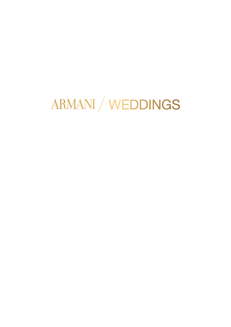# ARMAN / WEDDINGS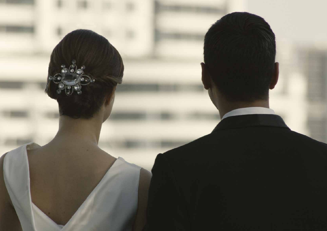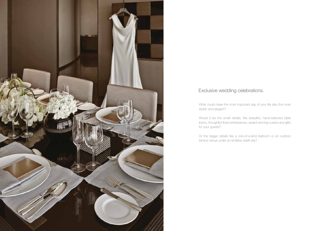

# Exclusive wedding celebrations.

What could make the most important day of your life also the most stylish and elegant?

Would it be the small details, like beautiful, hand-selected table linens, thoughtful floral centerpieces, award-winning cuisine and gifts for your guests?

Or the bigger details like a one-of-a-kind ballroom or an outdoor terrace venue under an endless starlit sky?

台文2011 前に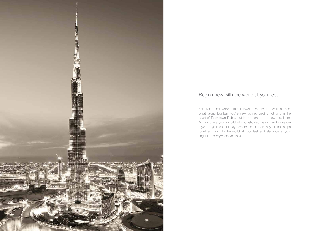

# Begin anew with the world at your feet.

Set within the world's tallest tower, next to the world's most breathtaking fountain, you're new journey begins not only in the heart of Downtown Dubai, but in the centre of a new era. Here, Armani offers you a world of sophisticated beauty and signature style on your special day. Where better to take your first steps together than with the world at your feet and elegance at your fingertips, everywhere you look.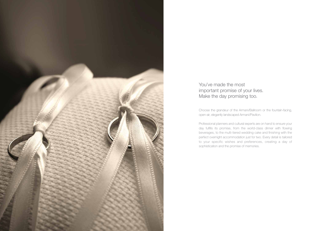

# You've made the most important promise of your lives. Make the day promising too.

Choose the grandeur of the Armani/Ballroom or the fountain-facing, open-air, elegantly landscaped Armani/Pavilion.

Professional planners and cultural experts are on hand to ensure your day fulfills its promise, from the world-class dinner with flowing beverages, to the multi-tiered wedding cake and finishing with the perfect overnight accommodation just for two. Every detail is tailored to your specific wishes and preferences, creating a day of sophistication and the promise of memories.

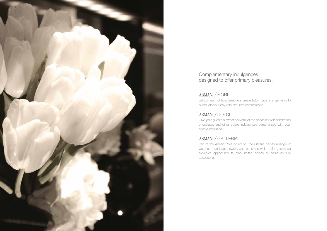Let our team of floral designers create tailor-made arrangements to punctuate your day with exquisite centrepieces.

# ARMANI / DOLCI

Give your guests a sweet souvenir of the occasion with chocolates and other edible indulgences personalised with your special message.

# ARMANI / GALLERIA

Part of the Armani/Privé collection, the Galleria carries watches, handbags, jewelry and perfumes which offer guests exclusive opportunity to own limited pieces of hauter. accessories.



Complementary indulgences designed to offer primary pleasures.

# $ARMANI / FIORI$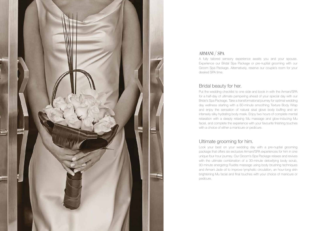

## **ARMANI** / SPA

A fully tailored sensory experience awaits you and your spouse. Experience our Bridal Spa Package or pre-nuptial grooming with our Groom Spa Package. Alternatively, reserve our couple's room for your desired SPA time.

Put the wedding checklist to one side and book in with the Armani/SPA for a half-day of ultimate pampering ahead of your special day with our Bride's Spa Package. Take a transformational journey for optimal wedding day wellness starting with a 60-minute smoothing Texture Body Wrap and enjoy the sensation of natural sisal glove body buffing and an intensely silky hydrating body mask. Enjoy two hours of complete mental relaxation with a deeply relaxing Mu massage and glow-inducing Mu facial, and complete the experience with your favourite finishing touches with a choice of either a manicure or pedicure.

Look your best on your wedding day with a pre-nuptial grooming package that offers six exclusive Armani/SPA experiences for him in one unique four-hour journey. Our Groom's Spa Package relaxes and revives with the ultimate combination of a 30-minute detoxifying body scrub, 90-minute energizing Fluidita massage using body brushing techniques and Armani Jade oil to improve lymphatic circulation, an hour-long skin brightening Mu facial and final touches with your choice of manicure or pedicure.

### Bridal beauty for her.

# Ultimate grooming for him.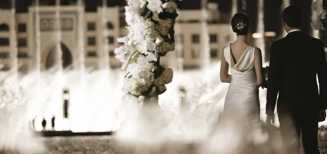